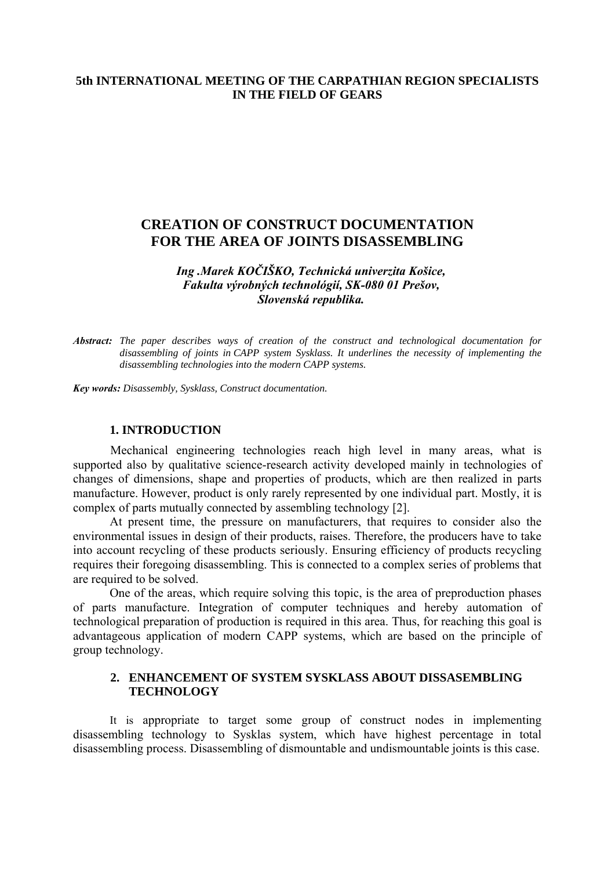## **5th INTERNATIONAL MEETING OF THE CARPATHIAN REGION SPECIALISTS IN THE FIELD OF GEARS**

# **CREATION OF CONSTRUCT DOCUMENTATION FOR THE AREA OF JOINTS DISASSEMBLING**

### *Ing .Marek KOČIŠKO, Technická univerzita Košice, Fakulta výrobných technológií, SK-080 01 Prešov, Slovenská republika.*

*Abstract: The paper describes ways of creation of the construct and technological documentation for disassembling of joints in CAPP system Sysklass. It underlines the necessity of implementing the disassembling technologies into the modern CAPP systems.* 

*Key words: Disassembly, Sysklass, Construct documentation.*

#### **1. INTRODUCTION**

Mechanical engineering technologies reach high level in many areas, what is supported also by qualitative science-research activity developed mainly in technologies of changes of dimensions, shape and properties of products, which are then realized in parts manufacture. However, product is only rarely represented by one individual part. Mostly, it is complex of parts mutually connected by assembling technology [2].

At present time, the pressure on manufacturers, that requires to consider also the environmental issues in design of their products, raises. Therefore, the producers have to take into account recycling of these products seriously. Ensuring efficiency of products recycling requires their foregoing disassembling. This is connected to a complex series of problems that are required to be solved.

One of the areas, which require solving this topic, is the area of preproduction phases of parts manufacture. Integration of computer techniques and hereby automation of technological preparation of production is required in this area. Thus, for reaching this goal is advantageous application of modern CAPP systems, which are based on the principle of group technology.

### **2. ENHANCEMENT OF SYSTEM SYSKLASS ABOUT DISSASEMBLING TECHNOLOGY**

It is appropriate to target some group of construct nodes in implementing disassembling technology to Sysklas system, which have highest percentage in total disassembling process. Disassembling of dismountable and undismountable joints is this case.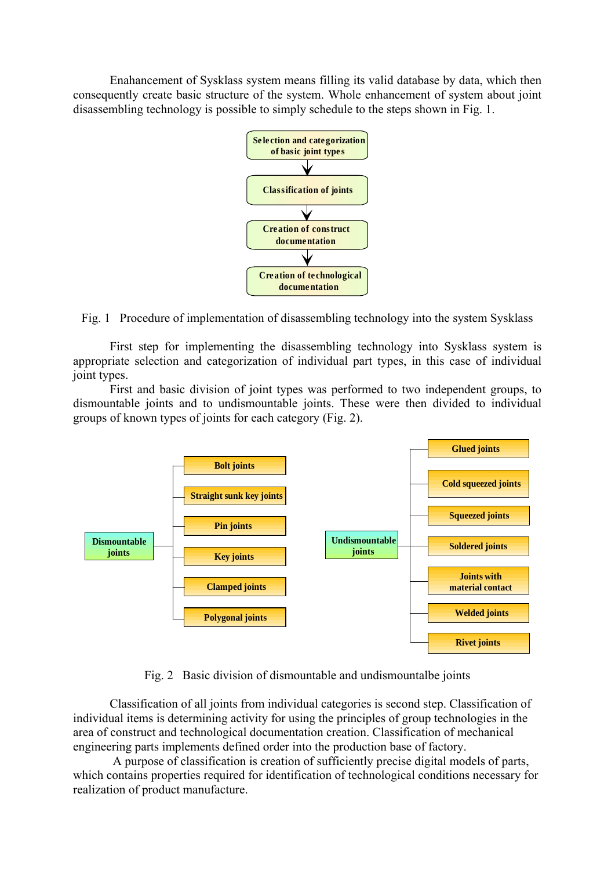Enahancement of Sysklass system means filling its valid database by data, which then consequently create basic structure of the system. Whole enhancement of system about joint disassembling technology is possible to simply schedule to the steps shown in Fig. 1.



Fig. 1 Procedure of implementation of disassembling technology into the system Sysklass

First step for implementing the disassembling technology into Sysklass system is appropriate selection and categorization of individual part types, in this case of individual joint types.

First and basic division of joint types was performed to two independent groups, to dismountable joints and to undismountable joints. These were then divided to individual groups of known types of joints for each category (Fig. 2).



Fig. 2 Basic division of dismountable and undismountalbe joints

Classification of all joints from individual categories is second step. Classification of individual items is determining activity for using the principles of group technologies in the area of construct and technological documentation creation. Classification of mechanical engineering parts implements defined order into the production base of factory.

 A purpose of classification is creation of sufficiently precise digital models of parts, which contains properties required for identification of technological conditions necessary for realization of product manufacture.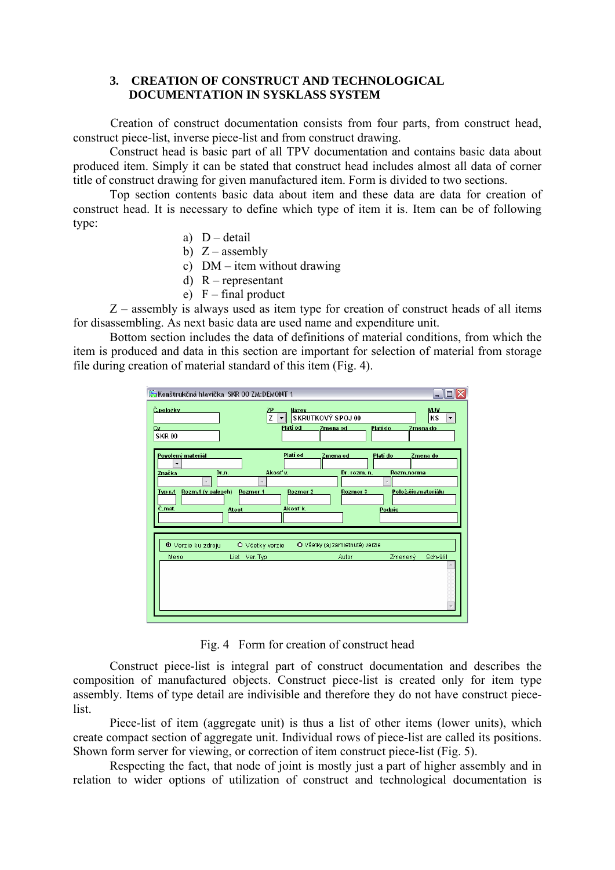## **3. CREATION OF CONSTRUCT AND TECHNOLOGICAL DOCUMENTATION IN SYSKLASS SYSTEM**

 Creation of construct documentation consists from four parts, from construct head, construct piece-list, inverse piece-list and from construct drawing.

Construct head is basic part of all TPV documentation and contains basic data about produced item. Simply it can be stated that construct head includes almost all data of corner title of construct drawing for given manufactured item. Form is divided to two sections.

Top section contents basic data about item and these data are data for creation of construct head. It is necessary to define which type of item it is. Item can be of following type:

- a)  $D detail$
- b)  $Z$  assembly

c) DM – item without drawing

- d) R representant
- e)  $F$  final product

 $Z$  – assembly is always used as item type for creation of construct heads of all items for disassembling. As next basic data are used name and expenditure unit.

Bottom section includes the data of definitions of material conditions, from which the item is produced and data in this section are important for selection of material from storage file during creation of material standard of this item (Fig. 4).

| Konštrukčná hlavička SKR 00 ZM:DEMONT 1<br>Č. položky<br>ΖP<br>7<br>Cv<br><b>SKR00</b>                                                                                                     | Názov<br>SKRUTKOVÝ SPOJ 00<br>▼<br>Platí od<br>Zmena od                  | <b>MJV</b><br>KS<br>▼<br>Platí do<br>Zmena do                                                   |
|--------------------------------------------------------------------------------------------------------------------------------------------------------------------------------------------|--------------------------------------------------------------------------|-------------------------------------------------------------------------------------------------|
| Povolený materiál<br>$\cdot$<br>Akost v.<br>Dr.n.<br>Značka<br>$\overline{\phantom{a}}$<br>$\overline{\phantom{a}}$<br>Rozm.1 (v palcoch)<br>Rozmer 1<br><b>Typ r.1</b><br>C.mat.<br>Atest | Platí od<br>Zmena od<br>Dr. rozm. n.<br>Rozmer 2<br>Rozmer 3<br>Akost'k. | Platí do<br>Zmena do<br>Rozm.norma<br>$\overline{\phantom{a}}$<br>Polož.čís.materiálu<br>Podpis |
| <sup>⊙</sup> Verzie ku zdroju<br>O Všetky verzie<br>Meno<br>List Ver. Typ                                                                                                                  | O Všetky (aj zamietnuté) verzie<br>Autor                                 | Zmenený<br>Schválil                                                                             |

Fig. 4 Form for creation of construct head

Construct piece-list is integral part of construct documentation and describes the composition of manufactured objects. Construct piece-list is created only for item type assembly. Items of type detail are indivisible and therefore they do not have construct piecelist.

Piece-list of item (aggregate unit) is thus a list of other items (lower units), which create compact section of aggregate unit. Individual rows of piece-list are called its positions. Shown form server for viewing, or correction of item construct piece-list (Fig. 5).

Respecting the fact, that node of joint is mostly just a part of higher assembly and in relation to wider options of utilization of construct and technological documentation is